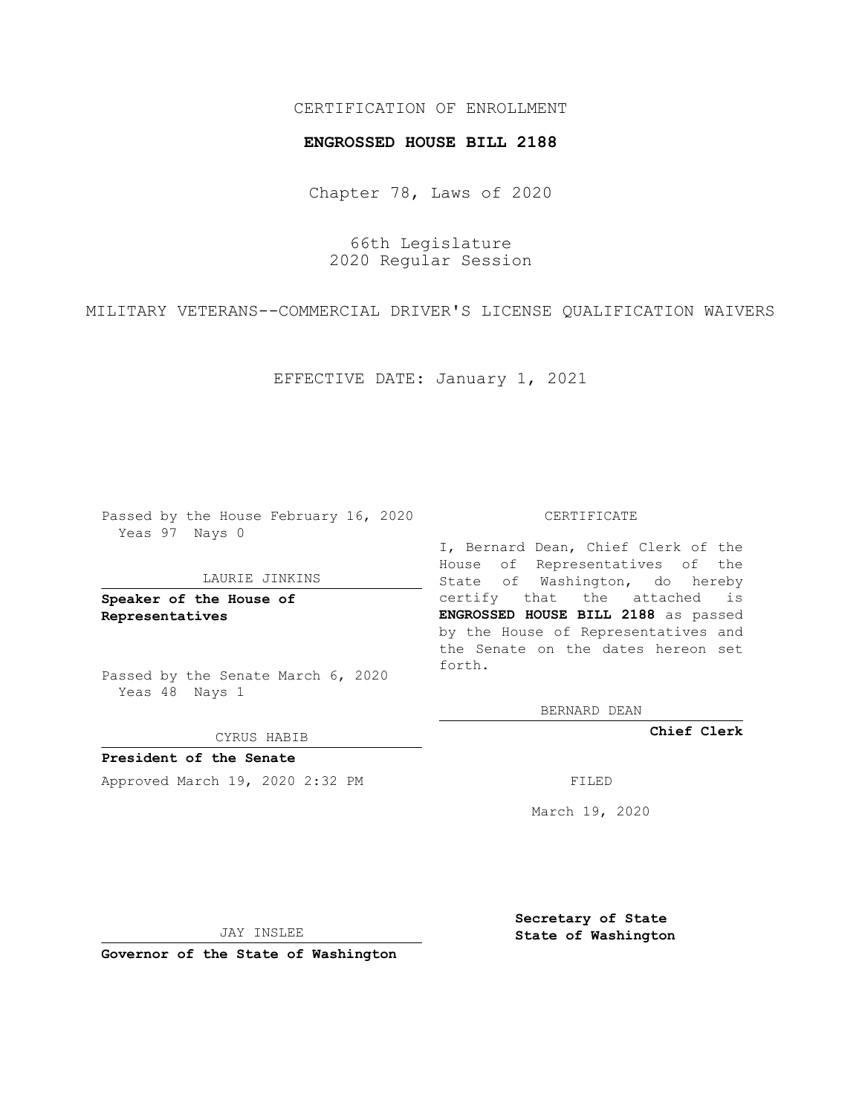# CERTIFICATION OF ENROLLMENT

## **ENGROSSED HOUSE BILL 2188**

Chapter 78, Laws of 2020

66th Legislature 2020 Regular Session

MILITARY VETERANS--COMMERCIAL DRIVER'S LICENSE QUALIFICATION WAIVERS

EFFECTIVE DATE: January 1, 2021

Passed by the House February 16, 2020 Yeas 97 Nays 0

#### LAURIE JINKINS

**Speaker of the House of Representatives**

Passed by the Senate March 6, 2020 Yeas 48 Nays 1

#### CYRUS HABIB

**President of the Senate** Approved March 19, 2020 2:32 PM FILED

### CERTIFICATE

I, Bernard Dean, Chief Clerk of the House of Representatives of the State of Washington, do hereby certify that the attached is **ENGROSSED HOUSE BILL 2188** as passed by the House of Representatives and the Senate on the dates hereon set forth.

BERNARD DEAN

**Chief Clerk**

March 19, 2020

JAY INSLEE

**Governor of the State of Washington**

**Secretary of State State of Washington**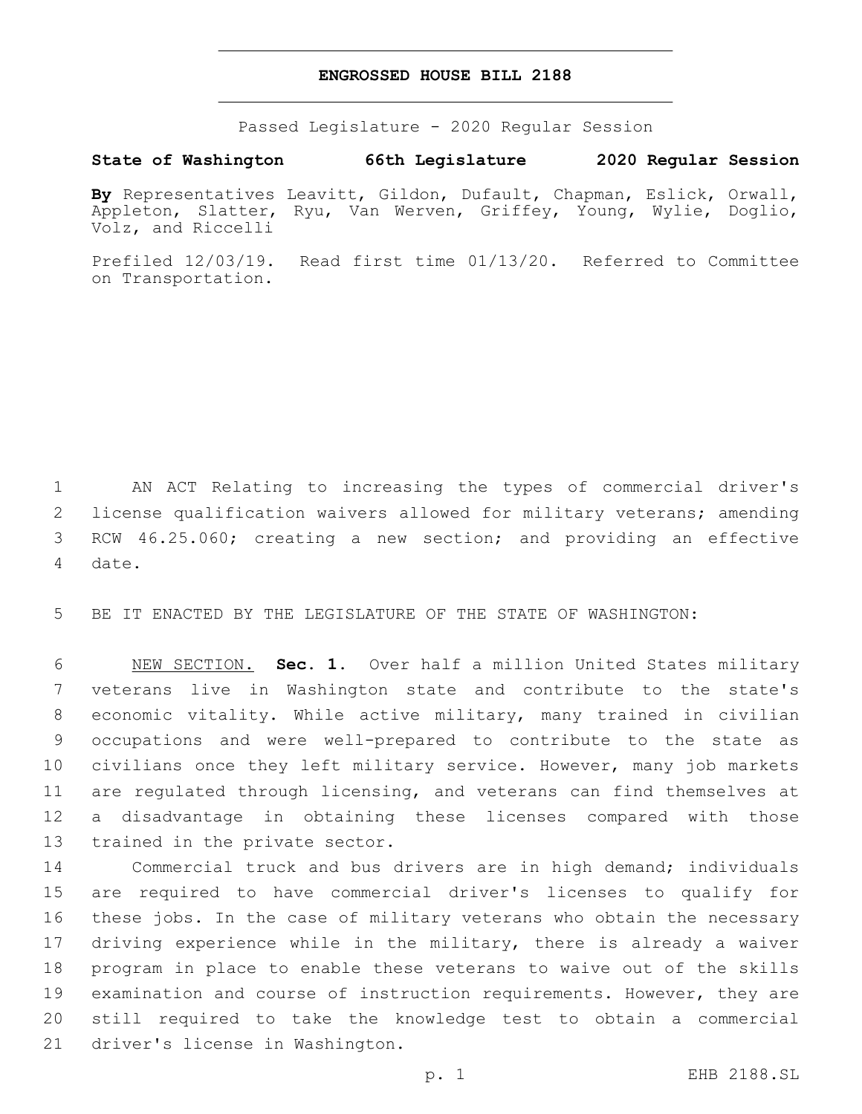## **ENGROSSED HOUSE BILL 2188**

Passed Legislature - 2020 Regular Session

**State of Washington 66th Legislature 2020 Regular Session**

**By** Representatives Leavitt, Gildon, Dufault, Chapman, Eslick, Orwall, Appleton, Slatter, Ryu, Van Werven, Griffey, Young, Wylie, Doglio, Volz, and Riccelli

Prefiled 12/03/19. Read first time 01/13/20. Referred to Committee on Transportation.

 AN ACT Relating to increasing the types of commercial driver's license qualification waivers allowed for military veterans; amending RCW 46.25.060; creating a new section; and providing an effective 4 date.

5 BE IT ENACTED BY THE LEGISLATURE OF THE STATE OF WASHINGTON:

 NEW SECTION. **Sec. 1.** Over half a million United States military veterans live in Washington state and contribute to the state's economic vitality. While active military, many trained in civilian occupations and were well-prepared to contribute to the state as civilians once they left military service. However, many job markets are regulated through licensing, and veterans can find themselves at a disadvantage in obtaining these licenses compared with those trained in the private sector.

 Commercial truck and bus drivers are in high demand; individuals are required to have commercial driver's licenses to qualify for these jobs. In the case of military veterans who obtain the necessary 17 driving experience while in the military, there is already a waiver program in place to enable these veterans to waive out of the skills examination and course of instruction requirements. However, they are still required to take the knowledge test to obtain a commercial 21 driver's license in Washington.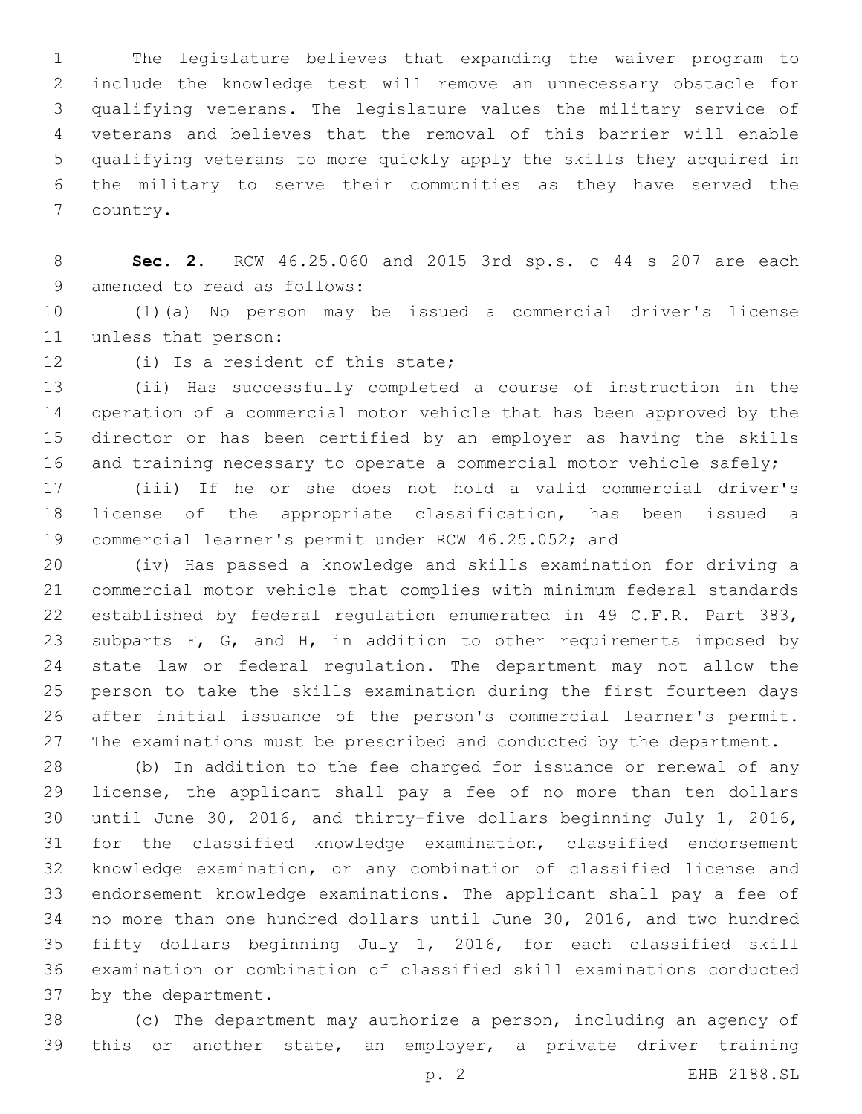The legislature believes that expanding the waiver program to include the knowledge test will remove an unnecessary obstacle for qualifying veterans. The legislature values the military service of veterans and believes that the removal of this barrier will enable qualifying veterans to more quickly apply the skills they acquired in the military to serve their communities as they have served the 7 country.

 **Sec. 2.** RCW 46.25.060 and 2015 3rd sp.s. c 44 s 207 are each 9 amended to read as follows:

 (1)(a) No person may be issued a commercial driver's license 11 unless that person:

12 (i) Is a resident of this state;

 (ii) Has successfully completed a course of instruction in the operation of a commercial motor vehicle that has been approved by the director or has been certified by an employer as having the skills 16 and training necessary to operate a commercial motor vehicle safely;

 (iii) If he or she does not hold a valid commercial driver's license of the appropriate classification, has been issued a commercial learner's permit under RCW 46.25.052; and

 (iv) Has passed a knowledge and skills examination for driving a commercial motor vehicle that complies with minimum federal standards established by federal regulation enumerated in 49 C.F.R. Part 383, 23 subparts F, G, and H, in addition to other requirements imposed by state law or federal regulation. The department may not allow the person to take the skills examination during the first fourteen days after initial issuance of the person's commercial learner's permit. 27 The examinations must be prescribed and conducted by the department.

 (b) In addition to the fee charged for issuance or renewal of any license, the applicant shall pay a fee of no more than ten dollars until June 30, 2016, and thirty-five dollars beginning July 1, 2016, for the classified knowledge examination, classified endorsement knowledge examination, or any combination of classified license and endorsement knowledge examinations. The applicant shall pay a fee of no more than one hundred dollars until June 30, 2016, and two hundred fifty dollars beginning July 1, 2016, for each classified skill examination or combination of classified skill examinations conducted 37 by the department.

 (c) The department may authorize a person, including an agency of this or another state, an employer, a private driver training

p. 2 EHB 2188.SL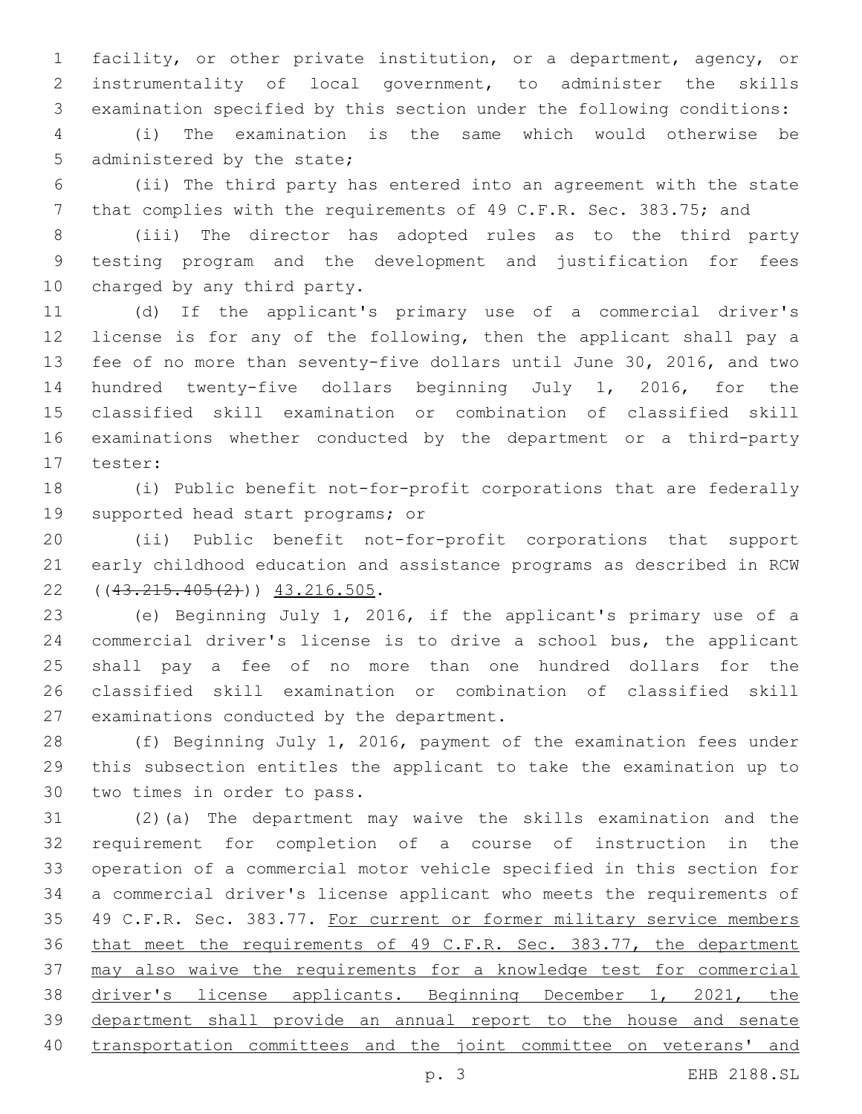facility, or other private institution, or a department, agency, or instrumentality of local government, to administer the skills examination specified by this section under the following conditions:

 (i) The examination is the same which would otherwise be 5 administered by the state;

 (ii) The third party has entered into an agreement with the state 7 that complies with the requirements of 49 C.F.R. Sec. 383.75; and

 (iii) The director has adopted rules as to the third party testing program and the development and justification for fees 10 charged by any third party.

 (d) If the applicant's primary use of a commercial driver's license is for any of the following, then the applicant shall pay a fee of no more than seventy-five dollars until June 30, 2016, and two hundred twenty-five dollars beginning July 1, 2016, for the classified skill examination or combination of classified skill examinations whether conducted by the department or a third-party 17 tester:

 (i) Public benefit not-for-profit corporations that are federally 19 supported head start programs; or

 (ii) Public benefit not-for-profit corporations that support early childhood education and assistance programs as described in RCW  $(43.215.405(2))$   $43.216.505$ .

 (e) Beginning July 1, 2016, if the applicant's primary use of a commercial driver's license is to drive a school bus, the applicant shall pay a fee of no more than one hundred dollars for the classified skill examination or combination of classified skill 27 examinations conducted by the department.

 (f) Beginning July 1, 2016, payment of the examination fees under this subsection entitles the applicant to take the examination up to 30 two times in order to pass.

 (2)(a) The department may waive the skills examination and the requirement for completion of a course of instruction in the operation of a commercial motor vehicle specified in this section for a commercial driver's license applicant who meets the requirements of 35 49 C.F.R. Sec. 383.77. For current or former military service members that meet the requirements of 49 C.F.R. Sec. 383.77, the department may also waive the requirements for a knowledge test for commercial driver's license applicants. Beginning December 1, 2021, the department shall provide an annual report to the house and senate transportation committees and the joint committee on veterans' and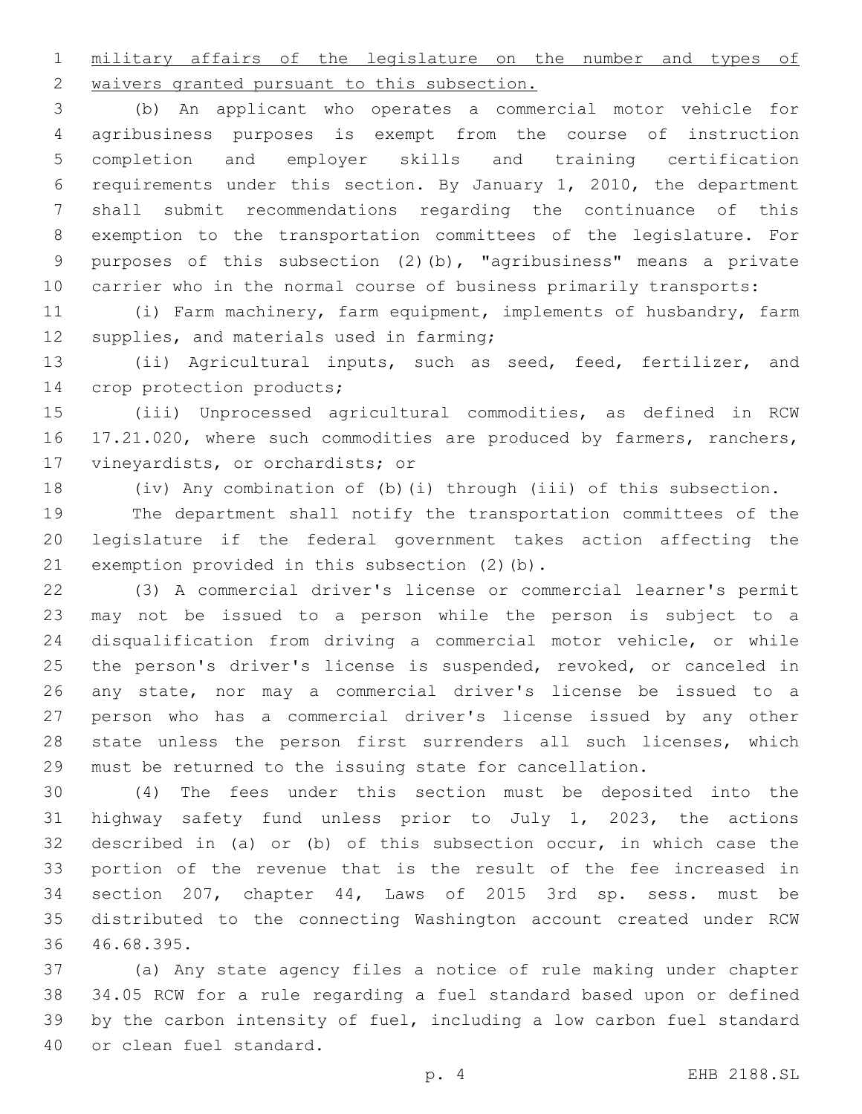military affairs of the legislature on the number and types of 2 waivers granted pursuant to this subsection.

 (b) An applicant who operates a commercial motor vehicle for agribusiness purposes is exempt from the course of instruction completion and employer skills and training certification requirements under this section. By January 1, 2010, the department shall submit recommendations regarding the continuance of this exemption to the transportation committees of the legislature. For purposes of this subsection (2)(b), "agribusiness" means a private carrier who in the normal course of business primarily transports:

 (i) Farm machinery, farm equipment, implements of husbandry, farm 12 supplies, and materials used in farming;

 (ii) Agricultural inputs, such as seed, feed, fertilizer, and 14 crop protection products;

 (iii) Unprocessed agricultural commodities, as defined in RCW 16 17.21.020, where such commodities are produced by farmers, ranchers, 17 vineyardists, or orchardists; or

(iv) Any combination of (b)(i) through (iii) of this subsection.

 The department shall notify the transportation committees of the legislature if the federal government takes action affecting the 21 exemption provided in this subsection  $(2)$  (b).

 (3) A commercial driver's license or commercial learner's permit may not be issued to a person while the person is subject to a disqualification from driving a commercial motor vehicle, or while 25 the person's driver's license is suspended, revoked, or canceled in any state, nor may a commercial driver's license be issued to a person who has a commercial driver's license issued by any other 28 state unless the person first surrenders all such licenses, which must be returned to the issuing state for cancellation.

 (4) The fees under this section must be deposited into the highway safety fund unless prior to July 1, 2023, the actions described in (a) or (b) of this subsection occur, in which case the portion of the revenue that is the result of the fee increased in section 207, chapter 44, Laws of 2015 3rd sp. sess. must be distributed to the connecting Washington account created under RCW 36 46.68.395.

 (a) Any state agency files a notice of rule making under chapter 34.05 RCW for a rule regarding a fuel standard based upon or defined by the carbon intensity of fuel, including a low carbon fuel standard 40 or clean fuel standard.